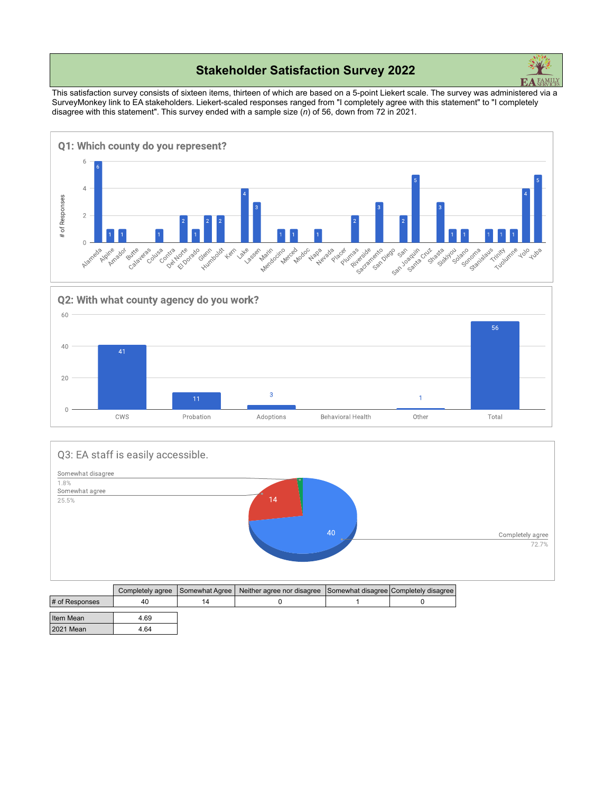## **Stakeholder Satisfaction Survey 2022**



This satisfaction survey consists of sixteen items, thirteen of which are based on a 5-point Liekert scale. The survey was administered via a SurveyMonkey link to EA stakeholders. Liekert-scaled responses ranged from "I completely agree with this statement" to "I completely disagree with this statement". This survey ended with a sample size (*n*) of 56, down from 72 in 2021.







| <b>F</b> of Responses | 4υ   | 14 |  |
|-----------------------|------|----|--|
|                       |      |    |  |
| Item Mean             | 4.69 |    |  |
|                       |      |    |  |
| <b>2021 Mean</b>      | 4.64 |    |  |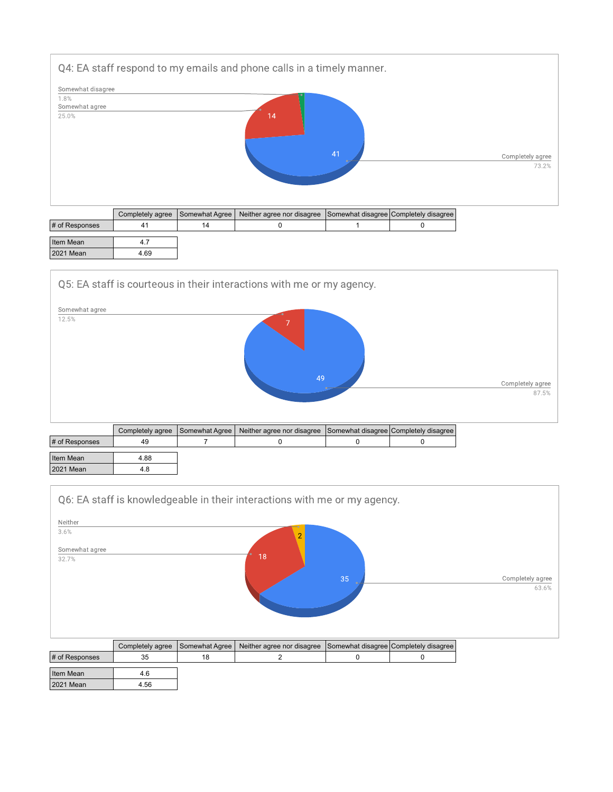

|                | __<br>. | $\overline{\phantom{0}}$<br>. | <u>.</u><br>. <u>.</u><br>__ | .<br>. <u>.</u> |
|----------------|---------|-------------------------------|------------------------------|-----------------|
| # of Responses |         | 14                            |                              |                 |
|                |         |                               |                              |                 |
| Item Mean      |         |                               |                              |                 |
| 2021 Mean      | 4.69    |                               |                              |                 |
|                |         |                               |                              |                 |

Q5: EA staff is courteous in their interactions with me or my agency.

2021 Mean 4.56



|                | Completely agree   Somewhat Agree | Neither agree nor disagree Somewhat disagree Completely disagree |  |
|----------------|-----------------------------------|------------------------------------------------------------------|--|
| # of Responses | 49                                |                                                                  |  |
| Item Mean      | 4.88                              |                                                                  |  |
| 2021 Mean      | 4.8                               |                                                                  |  |

|                         |                  |                | Q6: EA staff is knowledgeable in their interactions with me or my agency. |    |                                       |                  |
|-------------------------|------------------|----------------|---------------------------------------------------------------------------|----|---------------------------------------|------------------|
| Neither                 |                  |                |                                                                           |    |                                       |                  |
| 3.6%                    |                  |                |                                                                           |    |                                       |                  |
| Somewhat agree<br>32.7% |                  |                | 18                                                                        |    |                                       |                  |
|                         |                  |                |                                                                           | 35 |                                       | Completely agree |
|                         |                  |                |                                                                           |    |                                       | 63.6%            |
|                         | Completely agree | Somewhat Agree | Neither agree nor disagree                                                |    | Somewhat disagree Completely disagree |                  |
| # of Responses          | 35               | 18             | 2                                                                         | 0  | 0                                     |                  |
| Item Mean               | 4.6              |                |                                                                           |    |                                       |                  |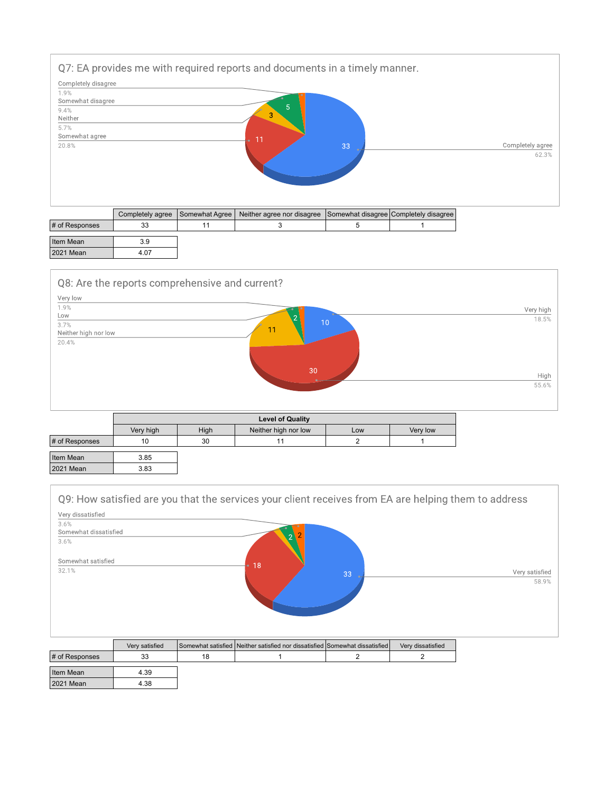

|                  |      | Completely agree Somewhat Agree Neither agree nor disagree Somewhat disagree Completely disagree |  |
|------------------|------|--------------------------------------------------------------------------------------------------|--|
| # of Responses   |      |                                                                                                  |  |
| Item Mean        | 3.9  |                                                                                                  |  |
| <b>2021 Mean</b> | 4.07 |                                                                                                  |  |



|                  | <b>Level of Quality</b> |      |                      |     |          |  |  |
|------------------|-------------------------|------|----------------------|-----|----------|--|--|
|                  | Very high               | High | Neither high nor low | Low | Very low |  |  |
| # of Responses   | 10                      | 30   | 11                   |     |          |  |  |
| Item Mean        | 3.85                    |      |                      |     |          |  |  |
| <b>2021 Mean</b> | 3.83                    |      |                      |     |          |  |  |

| Very dissatisfied<br>3.6% |    |                |    |                         |
|---------------------------|----|----------------|----|-------------------------|
| Somewhat dissatisfied     |    | $\overline{2}$ |    |                         |
| 3.6%                      |    | $\mathcal{D}$  |    |                         |
| Somewhat satisfied        |    |                |    |                         |
| 32.1%                     | 18 |                | 33 | Very satisfied<br>58.9% |
|                           |    |                |    |                         |
|                           |    |                |    |                         |

|                  | Very satisfied |    | Somewhat satisfied Neither satisfied nor dissatisfied Somewhat dissatisfied | Very dissatisfied |
|------------------|----------------|----|-----------------------------------------------------------------------------|-------------------|
| # of Responses   | 33             | 18 |                                                                             |                   |
| Item Mean        | 4.39           |    |                                                                             |                   |
| <b>2021 Mean</b> | 4.38           |    |                                                                             |                   |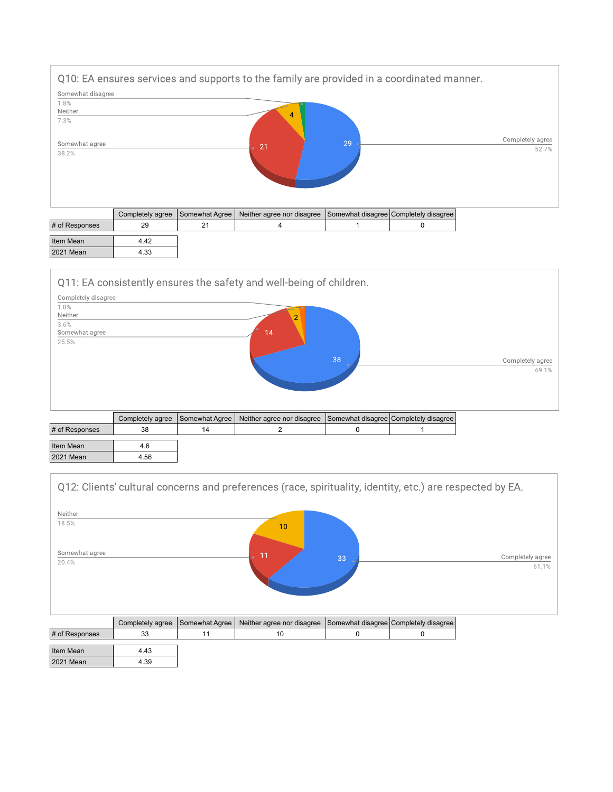

|                | <b>OUTINICIOLY UVICE</b> | $\sqrt{2}$ | <b>TVCRITCL QUICC TIOL GIOGGLOC</b> TOOLITCWHAT GIOGGLOC TOOLITCICITY GIOGGLOV |  |
|----------------|--------------------------|------------|--------------------------------------------------------------------------------|--|
| # of Responses |                          | つっ         |                                                                                |  |
|                |                          |            |                                                                                |  |
| Item Mean      | 4.42                     |            |                                                                                |  |
| 2021 Mean      | 4.33                     |            |                                                                                |  |
|                |                          |            |                                                                                |  |



| # of Responses | 38   | 14 |  |  |
|----------------|------|----|--|--|
| Item Mean      | 4.6  |    |  |  |
| 2021 Mean      | 4.56 |    |  |  |

|                         |                  |                | Q12: Clients' cultural concerns and preferences (race, spirituality, identity, etc.) are respected by EA. |    |                                       |                           |
|-------------------------|------------------|----------------|-----------------------------------------------------------------------------------------------------------|----|---------------------------------------|---------------------------|
| Neither<br>18.5%        |                  |                | 10                                                                                                        |    |                                       |                           |
| Somewhat agree<br>20.4% |                  |                | 11                                                                                                        | 33 |                                       | Completely agree<br>61.1% |
|                         | Completely agree | Somewhat Agree | Neither agree nor disagree                                                                                |    | Somewhat disagree Completely disagree |                           |
| # of Responses          | 33               | 11             | 10                                                                                                        | 0  | 0                                     |                           |
| Item Mean               | 4.43             |                |                                                                                                           |    |                                       |                           |

2021 Mean 4.39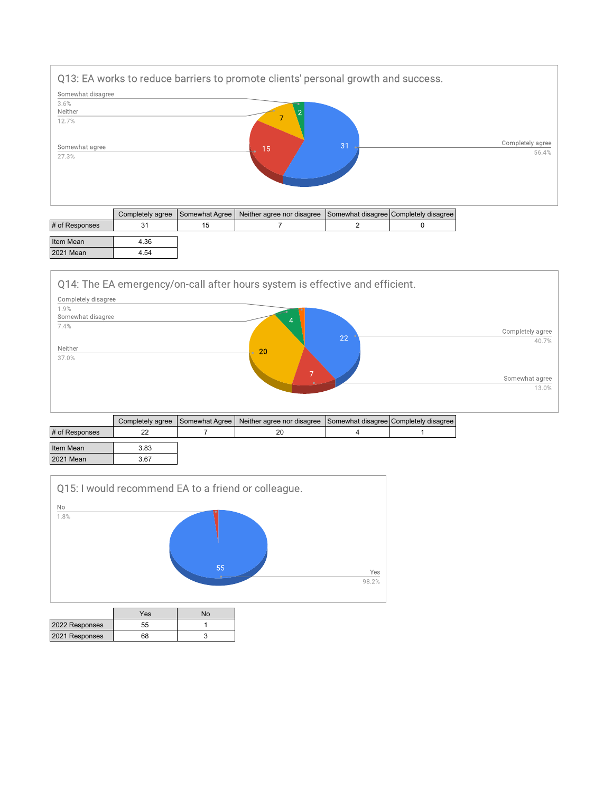

|                  |      |    | Completely agree   Somewhat Agree   INclurer agree for disagree   Somewhat disagree   Completely disagree |  |
|------------------|------|----|-----------------------------------------------------------------------------------------------------------|--|
| # of Responses   |      | 15 |                                                                                                           |  |
|                  |      |    |                                                                                                           |  |
| Item Mean        | 4.36 |    |                                                                                                           |  |
| <b>2021 Mean</b> | 4.54 |    |                                                                                                           |  |
|                  |      |    |                                                                                                           |  |

Q14: The EA emergency/on-call after hours system is effective and efficient.



| -83 |
|-----|
| 67  |
|     |



|                | Yes | N٥ |
|----------------|-----|----|
| 2022 Responses | 55  |    |
| 2021 Responses | 68  |    |